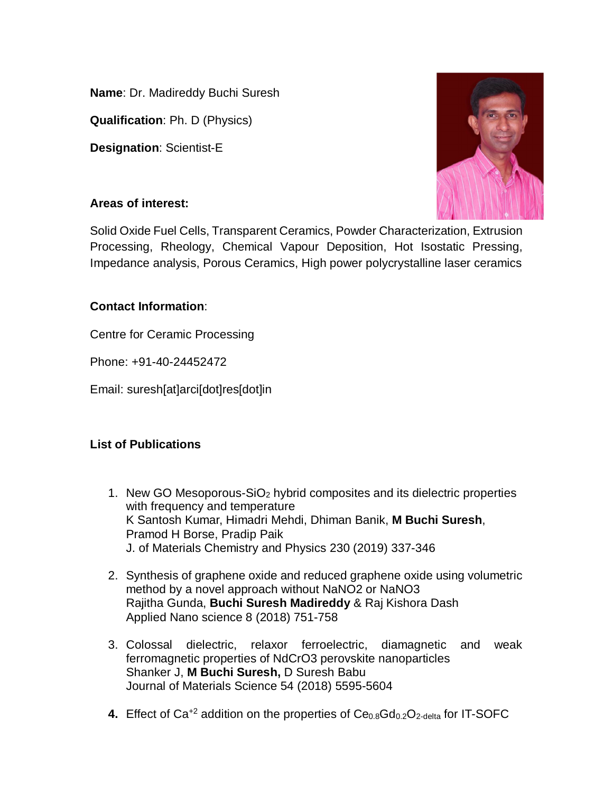**Name**: Dr. Madireddy Buchi Suresh

**Qualification**: Ph. D (Physics)

**Designation**: Scientist-E

## **Areas of interest:**

Solid Oxide Fuel Cells, Transparent Ceramics, Powder Characterization, Extrusion Processing, Rheology, Chemical Vapour Deposition, Hot Isostatic Pressing, Impedance analysis, Porous Ceramics, High power polycrystalline laser ceramics

## **Contact Information**:

Centre for Ceramic Processing

Phone: +91-40-24452472

Email: suresh[at]arci[dot]res[dot]in

## **List of Publications**

- 1. New GO Mesoporous-SiO<sub>2</sub> hybrid composites and its dielectric properties with frequency and temperature K Santosh Kumar, Himadri Mehdi, Dhiman Banik, **M Buchi Suresh**, Pramod H Borse, Pradip Paik J. of Materials Chemistry and Physics 230 (2019) 337-346
- 2. Synthesis of graphene oxide and reduced graphene oxide using volumetric method by a novel approach without NaNO2 or NaNO3 Rajitha Gunda, **Buchi Suresh Madireddy** & Raj Kishora Dash Applied Nano science 8 (2018) 751-758
- 3. Colossal dielectric, relaxor ferroelectric, diamagnetic and weak ferromagnetic properties of NdCrO3 perovskite nanoparticles Shanker J, **M Buchi Suresh,** D Suresh Babu Journal of Materials Science 54 (2018) 5595-5604
- **4.** Effect of Ca<sup>+2</sup> addition on the properties of Ce<sub>0.8</sub>Gd<sub>0.2</sub>O<sub>2-delta</sub> for IT-SOFC

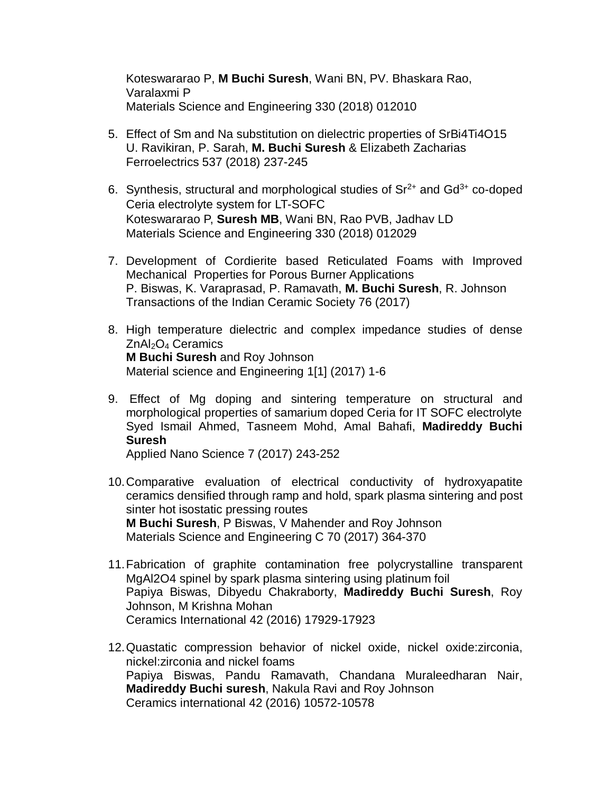Koteswararao P, **M Buchi Suresh**, Wani BN, PV. Bhaskara Rao, Varalaxmi P Materials Science and Engineering 330 (2018) 012010

- 5. Effect of Sm and Na substitution on dielectric properties of SrBi4Ti4O15 U. Ravikiran, P. Sarah, **M. Buchi Suresh** & Elizabeth Zacharias Ferroelectrics 537 (2018) 237-245
- 6. Synthesis, structural and morphological studies of  $Sr<sup>2+</sup>$  and  $Gd<sup>3+</sup>$  co-doped Ceria electrolyte system for LT-SOFC Koteswararao P, **Suresh MB**, Wani BN, Rao PVB, Jadhav LD Materials Science and Engineering 330 (2018) 012029
- 7. Development of Cordierite based Reticulated Foams with Improved Mechanical Properties for Porous Burner Applications P. Biswas, K. Varaprasad, P. Ramavath, **M. Buchi Suresh**, R. Johnson Transactions of the Indian Ceramic Society 76 (2017)
- 8. High temperature dielectric and complex impedance studies of dense ZnAl<sub>2</sub>O<sub>4</sub> Ceramics **M Buchi Suresh** and Roy Johnson Material science and Engineering 1[1] (2017) 1-6
- 9. Effect of Mg doping and sintering temperature on structural and morphological properties of samarium doped Ceria for IT SOFC electrolyte Syed Ismail Ahmed, Tasneem Mohd, Amal Bahafi, **Madireddy Buchi Suresh**

Applied Nano Science 7 (2017) 243-252

- 10.Comparative evaluation of electrical conductivity of hydroxyapatite ceramics densified through ramp and hold, spark plasma sintering and post sinter hot isostatic pressing routes **M Buchi Suresh**, P Biswas, V Mahender and Roy Johnson Materials Science and Engineering C 70 (2017) 364-370
- 11.Fabrication of graphite contamination free polycrystalline transparent MgAl2O4 spinel by spark plasma sintering using platinum foil Papiya Biswas, Dibyedu Chakraborty, **Madireddy Buchi Suresh**, Roy Johnson, M Krishna Mohan Ceramics International 42 (2016) 17929-17923
- 12.Quastatic compression behavior of nickel oxide, nickel oxide:zirconia, nickel:zirconia and nickel foams Papiya Biswas, Pandu Ramavath, Chandana Muraleedharan Nair, **Madireddy Buchi suresh**, Nakula Ravi and Roy Johnson Ceramics international 42 (2016) 10572-10578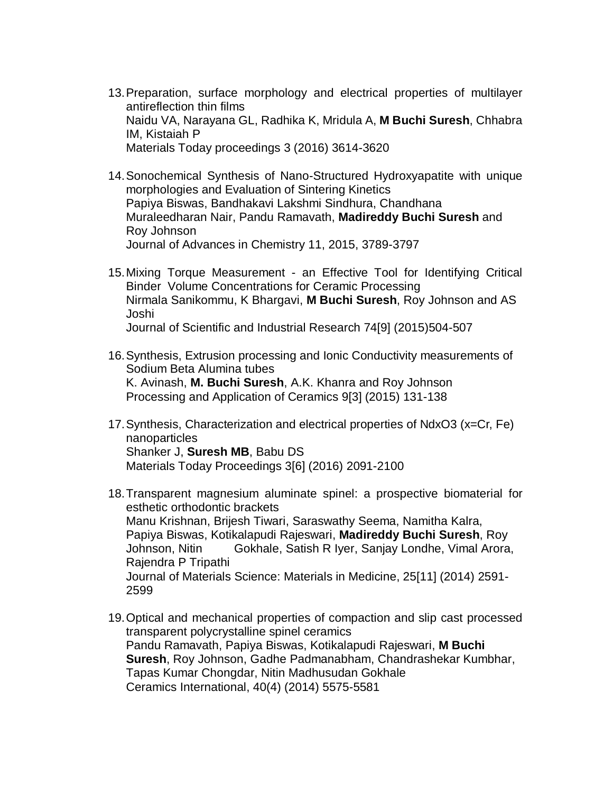- 13.Preparation, surface morphology and electrical properties of multilayer antireflection thin films Naidu VA, Narayana GL, Radhika K, Mridula A, **M Buchi Suresh**, Chhabra IM, Kistaiah P Materials Today proceedings 3 (2016) 3614-3620
- 14.Sonochemical Synthesis of Nano-Structured Hydroxyapatite with unique morphologies and Evaluation of Sintering Kinetics Papiya Biswas, Bandhakavi Lakshmi Sindhura, Chandhana Muraleedharan Nair, Pandu Ramavath, **Madireddy Buchi Suresh** and Roy Johnson Journal of Advances in Chemistry 11, 2015, 3789-3797
- 15.Mixing Torque Measurement an Effective Tool for Identifying Critical Binder Volume Concentrations for Ceramic Processing Nirmala Sanikommu, K Bhargavi, **M Buchi Suresh**, Roy Johnson and AS Joshi Journal of Scientific and Industrial Research 74[9] (2015)504-507
- 16.Synthesis, Extrusion processing and Ionic Conductivity measurements of Sodium Beta Alumina tubes K. Avinash, **M. Buchi Suresh**, A.K. Khanra and Roy Johnson Processing and Application of Ceramics 9[3] (2015) 131-138
- 17.Synthesis, Characterization and electrical properties of NdxO3 (x=Cr, Fe) nanoparticles Shanker J, **Suresh MB**, Babu DS Materials Today Proceedings 3[6] (2016) 2091-2100
- 18.Transparent magnesium aluminate spinel: a prospective biomaterial for esthetic orthodontic brackets Manu Krishnan, Brijesh Tiwari, Saraswathy Seema, Namitha Kalra, Papiya Biswas, Kotikalapudi Rajeswari, **Madireddy Buchi Suresh**, Roy Johnson, Nitin Gokhale, Satish R Iyer, Sanjay Londhe, Vimal Arora, Rajendra P Tripathi Journal of Materials Science: Materials in Medicine, 25[11] (2014) 2591- 2599
- 19.Optical and mechanical properties of compaction and slip cast processed transparent polycrystalline spinel ceramics Pandu Ramavath, Papiya Biswas, Kotikalapudi Rajeswari, **M Buchi Suresh**, Roy Johnson, Gadhe Padmanabham, Chandrashekar Kumbhar, Tapas Kumar Chongdar, Nitin Madhusudan Gokhale Ceramics International, 40(4) (2014) 5575-5581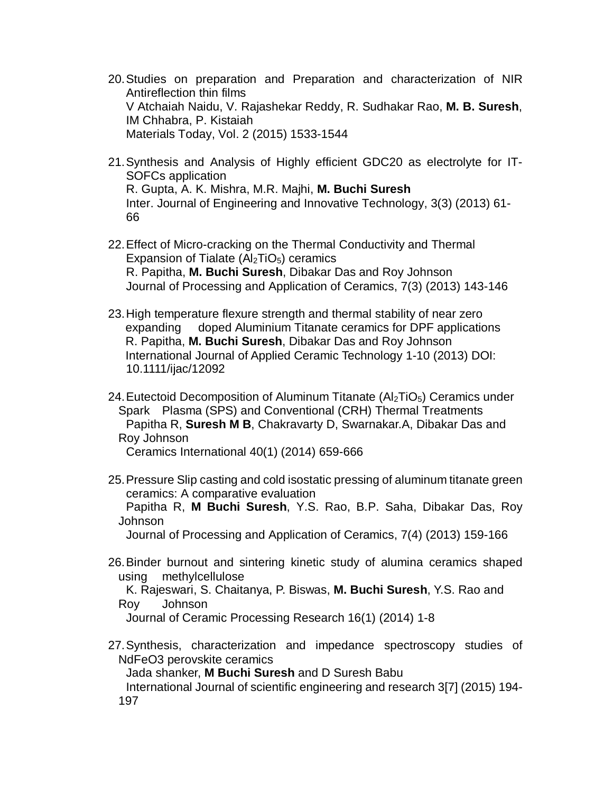- 20.Studies on preparation and Preparation and characterization of NIR Antireflection thin films V Atchaiah Naidu, V. Rajashekar Reddy, R. Sudhakar Rao, **M. B. Suresh**, IM Chhabra, P. Kistaiah Materials Today, Vol. 2 (2015) 1533-1544
- 21.Synthesis and Analysis of Highly efficient GDC20 as electrolyte for IT-SOFCs application R. Gupta, A. K. Mishra, M.R. Majhi, **M. Buchi Suresh** Inter. Journal of Engineering and Innovative Technology, 3(3) (2013) 61- 66
- 22.Effect of Micro-cracking on the Thermal Conductivity and Thermal Expansion of Tialate  $(Al<sub>2</sub>TiO<sub>5</sub>)$  ceramics R. Papitha, **M. Buchi Suresh**, Dibakar Das and Roy Johnson Journal of Processing and Application of Ceramics, 7(3) (2013) 143-146
- 23.High temperature flexure strength and thermal stability of near zero expanding doped Aluminium Titanate ceramics for DPF applications R. Papitha, **M. Buchi Suresh**, Dibakar Das and Roy Johnson International Journal of Applied Ceramic Technology 1-10 (2013) DOI: 10.1111/ijac/12092
- 24. Eutectoid Decomposition of Aluminum Titanate  $(AI<sub>2</sub>TIO<sub>5</sub>)$  Ceramics under Spark Plasma (SPS) and Conventional (CRH) Thermal Treatments Papitha R, **Suresh M B**, Chakravarty D, Swarnakar.A, Dibakar Das and Roy Johnson

Ceramics International 40(1) (2014) 659-666

25.Pressure Slip casting and cold isostatic pressing of aluminum titanate green ceramics: A comparative evaluation

Papitha R, **M Buchi Suresh**, Y.S. Rao, B.P. Saha, Dibakar Das, Roy Johnson

Journal of Processing and Application of Ceramics, 7(4) (2013) 159-166

26.Binder burnout and sintering kinetic study of alumina ceramics shaped using methylcellulose

K. Rajeswari, S. Chaitanya, P. Biswas, **M. Buchi Suresh**, Y.S. Rao and Roy Johnson

Journal of Ceramic Processing Research 16(1) (2014) 1-8

27.Synthesis, characterization and impedance spectroscopy studies of NdFeO3 perovskite ceramics

Jada shanker, **M Buchi Suresh** and D Suresh Babu

International Journal of scientific engineering and research 3[7] (2015) 194- 197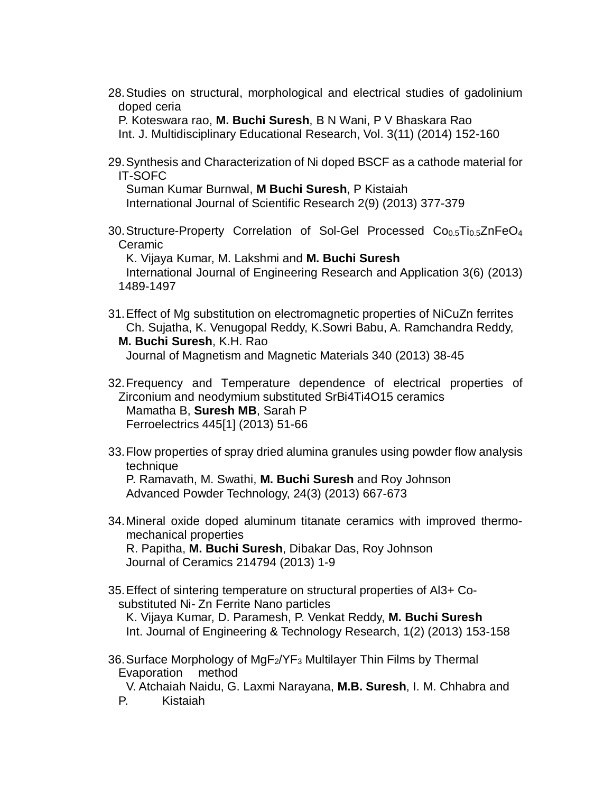28.Studies on structural, morphological and electrical studies of gadolinium doped ceria

P. Koteswara rao, **M. Buchi Suresh**, B N Wani, P V Bhaskara Rao Int. J. Multidisciplinary Educational Research, Vol. 3(11) (2014) 152-160

29.Synthesis and Characterization of Ni doped BSCF as a cathode material for IT-SOFC

Suman Kumar Burnwal, **M Buchi Suresh**, P Kistaiah International Journal of Scientific Research 2(9) (2013) 377-379

30. Structure-Property Correlation of Sol-Gel Processed Co<sub>0.5</sub>Ti<sub>0.5</sub>ZnFeO<sub>4</sub> Ceramic

K. Vijaya Kumar, M. Lakshmi and **M. Buchi Suresh** International Journal of Engineering Research and Application 3(6) (2013) 1489-1497

- 31.Effect of Mg substitution on electromagnetic properties of NiCuZn ferrites Ch. Sujatha, K. Venugopal Reddy, K.Sowri Babu, A. Ramchandra Reddy, **M. Buchi Suresh**, K.H. Rao Journal of Magnetism and Magnetic Materials 340 (2013) 38-45
- 32.Frequency and Temperature dependence of electrical properties of Zirconium and neodymium substituted SrBi4Ti4O15 ceramics Mamatha B, **Suresh MB**, Sarah P Ferroelectrics 445[1] (2013) 51-66
- 33.Flow properties of spray dried alumina granules using powder flow analysis technique P. Ramavath, M. Swathi, **M. Buchi Suresh** and Roy Johnson Advanced Powder Technology, 24(3) (2013) 667-673
- 34.Mineral oxide doped aluminum titanate ceramics with improved thermomechanical properties R. Papitha, **M. Buchi Suresh**, Dibakar Das, Roy Johnson Journal of Ceramics 214794 (2013) 1-9
- 35.Effect of sintering temperature on structural properties of Al3+ Cosubstituted Ni- Zn Ferrite Nano particles K. Vijaya Kumar, D. Paramesh, P. Venkat Reddy, **M. Buchi Suresh** Int. Journal of Engineering & Technology Research, 1(2) (2013) 153-158
- 36. Surface Morphology of  $MgF_2/YF_3$  Multilayer Thin Films by Thermal Evaporation method

V. Atchaiah Naidu, G. Laxmi Narayana, **M.B. Suresh**, I. M. Chhabra and

P. Kistaiah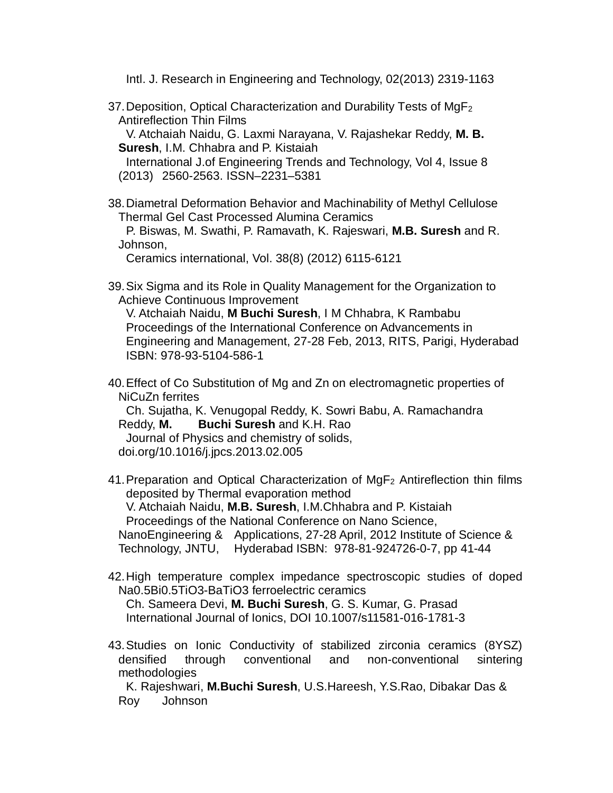Intl. J. Research in Engineering and Technology, 02(2013) 2319-1163

37. Deposition, Optical Characterization and Durability Tests of  $MgF<sub>2</sub>$ Antireflection Thin Films

V. Atchaiah Naidu, G. Laxmi Narayana, V. Rajashekar Reddy, **M. B. Suresh**, I.M. Chhabra and P. Kistaiah

International J.of Engineering Trends and Technology, Vol 4, Issue 8 (2013) 2560-2563. ISSN–2231–5381

38.Diametral Deformation Behavior and Machinability of Methyl Cellulose Thermal Gel Cast Processed Alumina Ceramics

P. Biswas, M. Swathi, P. Ramavath, K. Rajeswari, **M.B. Suresh** and R. Johnson,

Ceramics international, Vol. 38(8) (2012) 6115-6121

39.Six Sigma and its Role in Quality Management for the Organization to Achieve Continuous Improvement

V. Atchaiah Naidu, **M Buchi Suresh**, I M Chhabra, K Rambabu Proceedings of the International Conference on Advancements in Engineering and Management, 27-28 Feb, 2013, RITS, Parigi, Hyderabad ISBN: 978-93-5104-586-1

40.Effect of Co Substitution of Mg and Zn on electromagnetic properties of NiCuZn ferrites

Ch. Sujatha, K. Venugopal Reddy, K. Sowri Babu, A. Ramachandra Reddy, **M. Buchi Suresh** and K.H. Rao Journal of Physics and chemistry of solids,

- doi.org/10.1016/j.jpcs.2013.02.005
- 41. Preparation and Optical Characterization of  $MqF<sub>2</sub>$  Antireflection thin films deposited by Thermal evaporation method V. Atchaiah Naidu, **M.B. Suresh**, I.M.Chhabra and P. Kistaiah Proceedings of the National Conference on Nano Science, NanoEngineering & Applications, 27-28 April, 2012 Institute of Science & Technology, JNTU, Hyderabad ISBN: 978-81-924726-0-7, pp 41-44
- 42.High temperature complex impedance spectroscopic studies of doped Na0.5Bi0.5TiO3-BaTiO3 ferroelectric ceramics

Ch. Sameera Devi, **M. Buchi Suresh**, G. S. Kumar, G. Prasad International Journal of Ionics, DOI 10.1007/s11581-016-1781-3

43.Studies on Ionic Conductivity of stabilized zirconia ceramics (8YSZ) densified through conventional and non-conventional sintering methodologies

K. Rajeshwari, **M.Buchi Suresh**, U.S.Hareesh, Y.S.Rao, Dibakar Das & Roy Johnson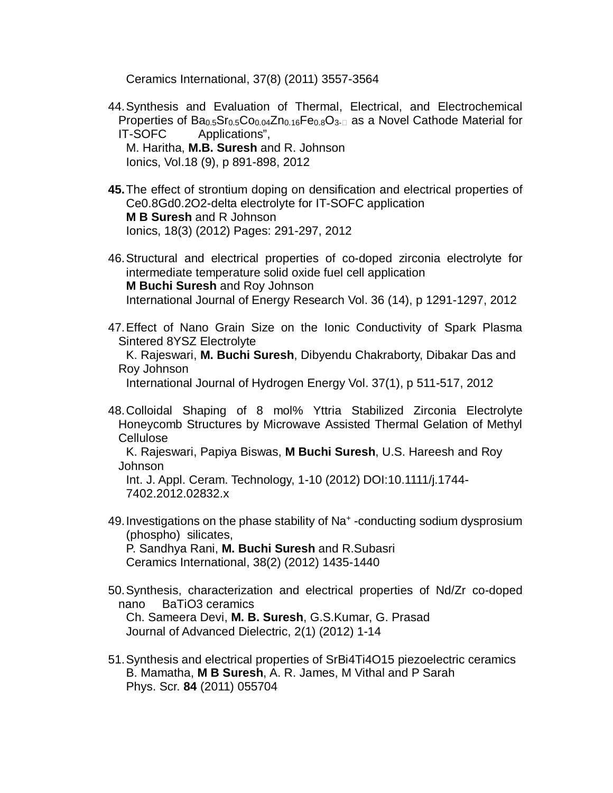Ceramics International, 37(8) (2011) 3557-3564

- 44.Synthesis and Evaluation of Thermal, Electrical, and Electrochemical Properties of  $Ba<sub>0.5</sub>Sr<sub>0.5</sub>Co<sub>0.04</sub>Zn<sub>0.16</sub>Fe<sub>0.8</sub>O<sub>3-1</sub>$  as a Novel Cathode Material for IT-SOFC Applications", M. Haritha, **M.B. Suresh** and R. Johnson Ionics, Vol.18 (9), p 891-898, 2012
- **45.**The effect of strontium doping on densification and electrical properties of Ce0.8Gd0.2O2-delta electrolyte for IT-SOFC application **M B Suresh** and R Johnson Ionics, 18(3) (2012) Pages: 291-297, 2012
- 46.Structural and electrical properties of co-doped zirconia electrolyte for intermediate temperature solid oxide fuel cell application **M Buchi Suresh** and Roy Johnson International Journal of Energy Research Vol. 36 (14), p 1291-1297, 2012
- 47.Effect of Nano Grain Size on the Ionic Conductivity of Spark Plasma Sintered 8YSZ Electrolyte

K. Rajeswari, **M. Buchi Suresh**, Dibyendu Chakraborty, Dibakar Das and Roy Johnson

International Journal of Hydrogen Energy Vol. 37(1), p 511-517, 2012

48.Colloidal Shaping of 8 mol% Yttria Stabilized Zirconia Electrolyte Honeycomb Structures by Microwave Assisted Thermal Gelation of Methyl Cellulose

K. Rajeswari, Papiya Biswas, **M Buchi Suresh**, U.S. Hareesh and Roy Johnson

Int. J. Appl. Ceram. Technology, 1-10 (2012) DOI:10.1111/j.1744- 7402.2012.02832.x

- 49. Investigations on the phase stability of Na<sup>+</sup>-conducting sodium dysprosium (phospho) silicates, P. Sandhya Rani, **M. Buchi Suresh** and R.Subasri Ceramics International, 38(2) (2012) 1435-1440
- 50.Synthesis, characterization and electrical properties of Nd/Zr co-doped nano BaTiO3 ceramics Ch. Sameera Devi, **M. B. Suresh**, G.S.Kumar, G. Prasad

Journal of Advanced Dielectric, 2(1) (2012) 1-14

51.Synthesis and electrical properties of SrBi4Ti4O15 piezoelectric ceramics B. Mamatha, **M B Suresh**, A. R. James, M Vithal and P Sarah Phys. Scr. **84** (2011) 055704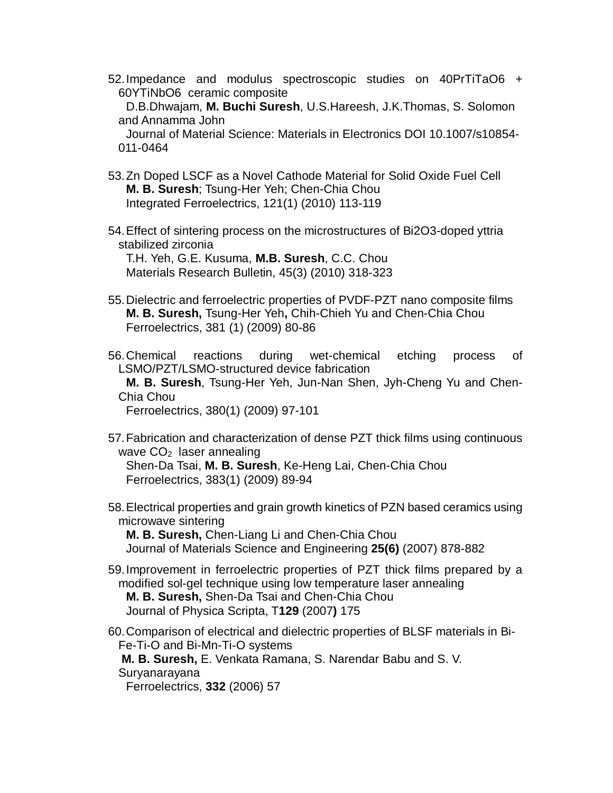52.Impedance and modulus spectroscopic studies on 40PrTiTaO6 + 60YTiNbO6 ceramic composite

D.B.Dhwajam, **M. Buchi Suresh**, U.S.Hareesh, J.K.Thomas, S. Solomon and Annamma John

Journal of Material Science: Materials in Electronics DOI 10.1007/s10854- 011-0464

- 53.Zn Doped LSCF as a Novel Cathode Material for Solid Oxide Fuel Cell **M. B. Suresh**; Tsung-Her Yeh; Chen-Chia Chou Integrated Ferroelectrics, 121(1) (2010) 113-119
- 54.Effect of sintering process on the microstructures of Bi2O3-doped yttria stabilized zirconia

T.H. Yeh, G.E. Kusuma, **M.B. Suresh**, C.C. Chou Materials Research Bulletin, 45(3) (2010) 318-323

55.Dielectric and ferroelectric properties of PVDF-PZT nano composite films **M. B. Suresh,** Tsung-Her Yeh**,** Chih-Chieh Yu and Chen-Chia Chou Ferroelectrics, 381 (1) (2009) 80-86

56.Chemical reactions during wet-chemical etching process of LSMO/PZT/LSMO-structured device fabrication **M. B. Suresh**, Tsung-Her Yeh, Jun-Nan Shen, Jyh-Cheng Yu and Chen-Chia Chou

Ferroelectrics, 380(1) (2009) 97-101

57.Fabrication and characterization of dense PZT thick films using continuous wave  $CO<sub>2</sub>$  laser annealing Shen-Da Tsai, **M. B. Suresh**, Ke-Heng Lai, Chen-Chia Chou

Ferroelectrics, 383(1) (2009) 89-94

58.Electrical properties and grain growth kinetics of PZN based ceramics using microwave sintering **M. B. Suresh,** Chen-Liang Li and Chen-Chia Chou

Journal of Materials Science and Engineering **25(6)** (2007) 878-882

- 59.Improvement in ferroelectric properties of PZT thick films prepared by a modified sol-gel technique using low temperature laser annealing **M. B. Suresh,** Shen-Da Tsai and Chen-Chia Chou Journal of Physica Scripta, T**129** (2007**)** 175
- 60.Comparison of electrical and dielectric properties of BLSF materials in Bi-Fe-Ti-O and Bi-Mn-Ti-O systems **M. B. Suresh,** E. Venkata Ramana, S. Narendar Babu and S. V.

Suryanarayana

Ferroelectrics, **332** (2006) 57